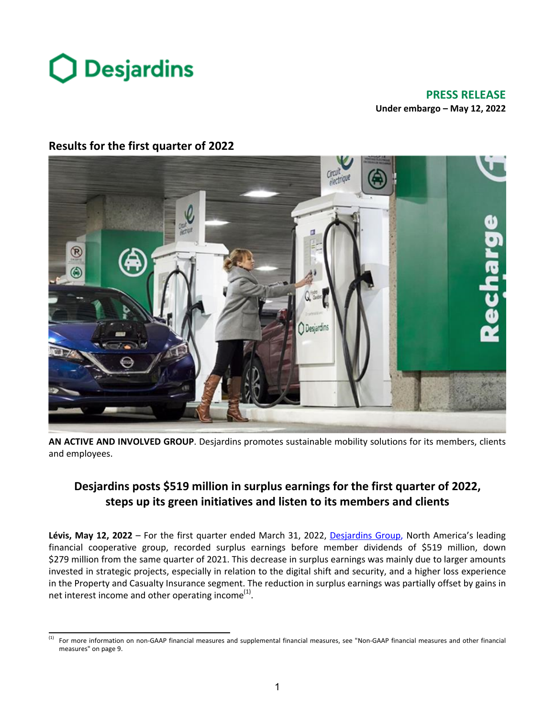

# **PRESS RELEASE Under embargo - May 12, 2022**



# **Results for the first quarter of 2022**

AN ACTIVE AND INVOLVED GROUP. Desjardins promotes sustainable mobility solutions for its members, clients and employees.

# **Desjardins posts \$519 million in surplus earnings for the first quarter of 2022,** steps up its green initiatives and listen to its members and clients

**Lévis, May 12, 2022** – For the first quarter ended March 31, 2022, Desjardins Group, North America's leading financial cooperative group, recorded surplus earnings before member dividends of \$519 million, down \$279 million from the same quarter of 2021. This decrease in surplus earnings was mainly due to larger amounts invested in strategic projects, especially in relation to the digital shift and security, and a higher loss experience in the Property and Casualty Insurance segment. The reduction in surplus earnings was partially offset by gains in net interest income and other operating income<sup>(1)</sup>.

<sup>&</sup>lt;sup>(1)</sup> For more information on non-GAAP financial measures and supplemental financial measures, see "Non-GAAP financial measures and other financial measures" on page 9.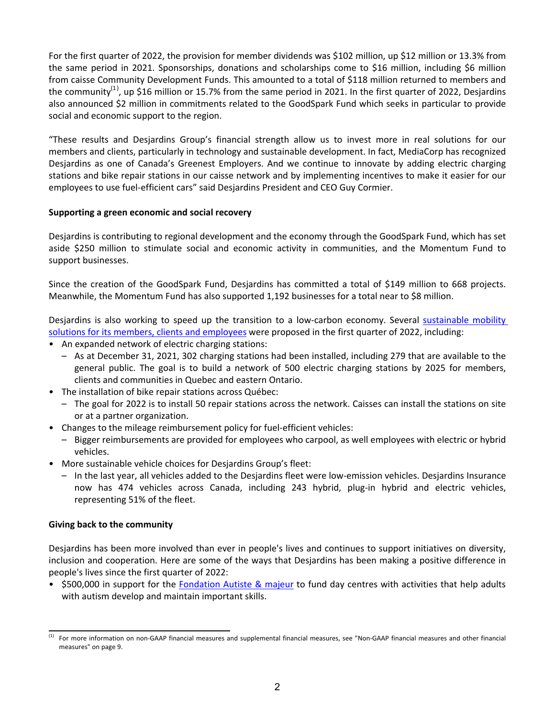For the first quarter of 2022, the provision for member dividends was \$102 million, up \$12 million or 13.3% from the same period in 2021. Sponsorships, donations and scholarships come to \$16 million, including \$6 million from caisse Community Development Funds. This amounted to a total of \$118 million returned to members and the community<sup>(1)</sup>, up \$16 million or 15.7% from the same period in 2021. In the first quarter of 2022, Desjardins also announced \$2 million in commitments related to the GoodSpark Fund which seeks in particular to provide social and economic support to the region.

"These results and Desjardins Group's financial strength allow us to invest more in real solutions for our members and clients, particularly in technology and sustainable development. In fact, MediaCorp has recognized Desjardins as one of Canada's Greenest Employers. And we continue to innovate by adding electric charging stations and bike repair stations in our caisse network and by implementing incentives to make it easier for our employees to use fuel-efficient cars" said Desjardins President and CEO Guy Cormier.

# Supporting a green economic and social recovery

Desjardins is contributing to regional development and the economy through the GoodSpark Fund, which has set aside \$250 million to stimulate social and economic activity in communities, and the Momentum Fund to support businesses.

Since the creation of the GoodSpark Fund, Desjardins has committed a total of \$149 million to 668 projects. Meanwhile, the Momentum Fund has also supported 1,192 businesses for a total near to \$8 million.

Desjardins is also working to speed up the transition to a low-carbon economy. Several sustainable mobility solutions for its members, clients and employees were proposed in the first quarter of 2022, including:

- An expanded network of electric charging stations:
	- $-$  As at December 31, 2021, 302 charging stations had been installed, including 279 that are available to the general public. The goal is to build a network of 500 electric charging stations by 2025 for members, clients and communities in Quebec and eastern Ontario.
- The installation of bike repair stations across Québec:
	- The goal for 2022 is to install 50 repair stations across the network. Caisses can install the stations on site or at a partner organization.
- Changes to the mileage reimbursement policy for fuel-efficient vehicles:
	- $-$  Bigger reimbursements are provided for employees who carpool, as well employees with electric or hybrid vehicles.
- More sustainable vehicle choices for Desjardins Group's fleet:
	- $-$  In the last year, all vehicles added to the Desjardins fleet were low-emission vehicles. Desjardins Insurance now has 474 vehicles across Canada, including 243 hybrid, plug-in hybrid and electric vehicles, representing 51% of the fleet.

# **Giving back to the community**

Desjardins has been more involved than ever in people's lives and continues to support initiatives on diversity, inclusion and cooperation. Here are some of the ways that Desjardins has been making a positive difference in people's lives since the first quarter of 2022:

• \$500,000 in support for the Fondation Autiste & majeur to fund day centres with activities that help adults with autism develop and maintain important skills.

<sup>(1)</sup> For more information on non-GAAP financial measures and supplemental financial measures, see "Non-GAAP financial measures and other financial measures" on page 9.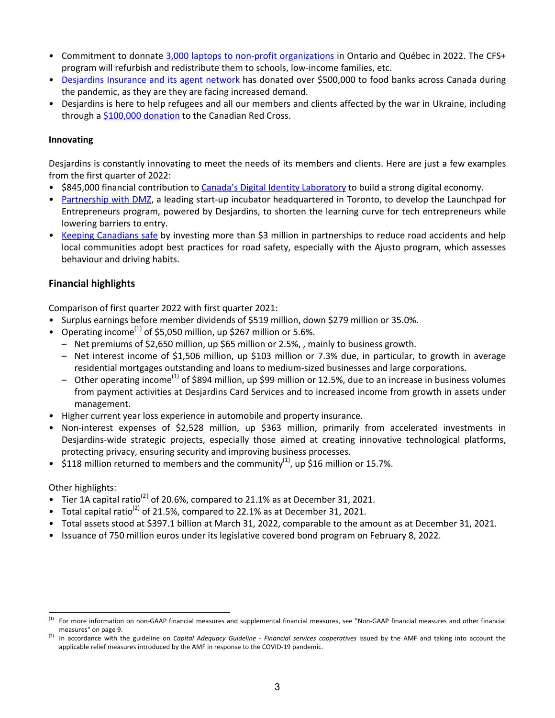- Commitment to donnate 3,000 laptops to non-profit organizations in Ontario and Québec in 2022. The CFS+ program will refurbish and redistribute them to schools, low-income families, etc.
- Desjardins Insurance and its agent network has donated over \$500,000 to food banks across Canada during the pandemic, as they are they are facing increased demand.
- Desjardins is here to help refugees and all our members and clients affected by the war in Ukraine, including through a  $$100,000$  donation to the Canadian Red Cross.

# **Innovating**

Desjardins is constantly innovating to meet the needs of its members and clients. Here are just a few examples from the first quarter of 2022:

- \$845,000 financial contribution to Canada's Digital Identity Laboratory to build a strong digital economy.
- Partnership with DMZ, a leading start-up incubator headquartered in Toronto, to develop the Launchpad for Entrepreneurs program, powered by Desjardins, to shorten the learning curve for tech entrepreneurs while lowering barriers to entry.
- Keeping Canadians safe by investing more than \$3 million in partnerships to reduce road accidents and help local communities adopt best practices for road safety, especially with the Ajusto program, which assesses behaviour and driving habits.

# **Financial highlights**

Comparison of first quarter 2022 with first quarter 2021:

- Surplus earnings before member dividends of \$519 million, down \$279 million or 35.0%.
- Operating income<sup>(1)</sup> of \$5,050 million, up \$267 million or 5.6%.
	- Net premiums of \$2,650 million, up \$65 million or 2.5%, , mainly to business growth.
	- $-$  Net interest income of \$1,506 million, up \$103 million or 7.3% due, in particular, to growth in average residential mortgages outstanding and loans to medium-sized businesses and large corporations.
	- $-$  Other operating income<sup>(1)</sup> of \$894 million, up \$99 million or 12.5%, due to an increase in business volumes from payment activities at Desjardins Card Services and to increased income from growth in assets under management.
- Higher current year loss experience in automobile and property insurance.
- Non-interest expenses of \$2,528 million, up \$363 million, primarily from accelerated investments in Desjardins-wide strategic projects, especially those aimed at creating innovative technological platforms, protecting privacy, ensuring security and improving business processes.
- \$118 million returned to members and the community<sup>(1)</sup>, up \$16 million or 15.7%.

# Other highlights:

- Tier 1A capital ratio<sup>(2)</sup> of 20.6%, compared to 21.1% as at December 31, 2021.
- Total capital ratio<sup>(2)</sup> of 21.5%, compared to 22.1% as at December 31, 2021.
- Total assets stood at \$397.1 billion at March 31, 2022, comparable to the amount as at December 31, 2021.
- Issuance of 750 million euros under its legislative covered bond program on February 8, 2022.

<sup>(1)</sup> For more information on non-GAAP financial measures and supplemental financial measures, see "Non-GAAP financial measures and other financial measures" on page 9.

<sup>(2)</sup> In accordance with the guideline on *Capital Adequacy Guideline* - *Financial services cooperatives* issued by the AMF and taking into account the applicable relief measures introduced by the AMF in response to the COVID-19 pandemic.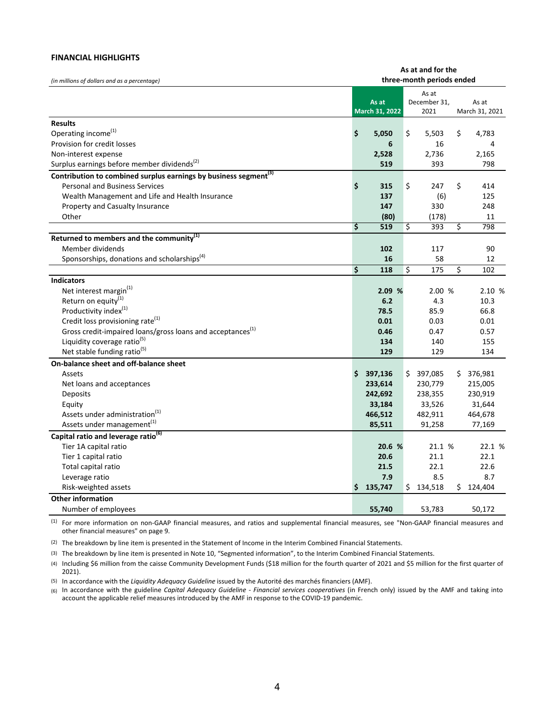#### **FINANCIAL HIGHLIGHTS**

|                                                                              |    |                           | As at and for the |                      |    |                         |  |  |
|------------------------------------------------------------------------------|----|---------------------------|-------------------|----------------------|----|-------------------------|--|--|
| (in millions of dollars and as a percentage)                                 |    | three-month periods ended |                   |                      |    |                         |  |  |
|                                                                              |    |                           |                   | As at                |    |                         |  |  |
|                                                                              |    | As at<br>March 31, 2022   |                   | December 31,<br>2021 |    | As at<br>March 31, 2021 |  |  |
|                                                                              |    |                           |                   |                      |    |                         |  |  |
| <b>Results</b>                                                               |    |                           |                   |                      |    |                         |  |  |
| Operating income <sup>(1)</sup>                                              | \$ | 5,050                     | \$                | 5,503                | \$ | 4,783                   |  |  |
| Provision for credit losses                                                  |    | 6                         |                   | 16                   |    | 4                       |  |  |
| Non-interest expense                                                         |    | 2,528                     |                   | 2,736                |    | 2,165                   |  |  |
| Surplus earnings before member dividends <sup>(2)</sup>                      |    | 519                       |                   | 393                  |    | 798                     |  |  |
| Contribution to combined surplus earnings by business segment <sup>(3)</sup> |    |                           |                   |                      |    |                         |  |  |
| <b>Personal and Business Services</b>                                        | \$ | 315                       | \$                | 247                  | \$ | 414                     |  |  |
| Wealth Management and Life and Health Insurance                              |    | 137                       |                   | (6)                  |    | 125                     |  |  |
| Property and Casualty Insurance                                              |    | 147                       |                   | 330                  |    | 248                     |  |  |
| Other                                                                        |    | (80)                      |                   | (178)                |    | 11                      |  |  |
|                                                                              | \$ | 519                       | \$                | 393                  | \$ | 798                     |  |  |
| Returned to members and the community <sup>(1)</sup>                         |    |                           |                   |                      |    |                         |  |  |
| Member dividends                                                             |    | 102                       |                   | 117                  |    | 90                      |  |  |
| Sponsorships, donations and scholarships <sup>(4)</sup>                      |    | 16                        |                   | 58                   |    | 12                      |  |  |
|                                                                              | \$ | 118                       | \$                | 175                  | \$ | 102                     |  |  |
| <b>Indicators</b>                                                            |    |                           |                   |                      |    |                         |  |  |
| Net interest margin(1)                                                       |    | 2.09%                     |                   | 2.00 %               |    | 2.10 %                  |  |  |
| Return on equity <sup>(1)</sup>                                              |    | 6.2                       |                   | 4.3                  |    | 10.3                    |  |  |
| Productivity index <sup>(1)</sup>                                            |    | 78.5                      |                   | 85.9                 |    | 66.8                    |  |  |
| Credit loss provisioning rate <sup>(1)</sup>                                 |    | 0.01                      |                   | 0.03                 |    | 0.01                    |  |  |
| Gross credit-impaired loans/gross loans and acceptances <sup>(1)</sup>       |    | 0.46                      |                   | 0.47                 |    | 0.57                    |  |  |
| Liquidity coverage ratio <sup>(5)</sup>                                      |    | 134                       |                   | 140                  |    | 155                     |  |  |
| Net stable funding ratio <sup>(5)</sup>                                      |    | 129                       |                   | 129                  |    | 134                     |  |  |
| On-balance sheet and off-balance sheet                                       |    |                           |                   |                      |    |                         |  |  |
| Assets                                                                       | \$ | 397,136                   |                   | \$397,085            |    | \$376,981               |  |  |
| Net loans and acceptances                                                    |    | 233,614                   |                   | 230,779              |    | 215,005                 |  |  |
| Deposits                                                                     |    | 242,692                   |                   | 238,355              |    | 230,919                 |  |  |
| Equity                                                                       |    | 33,184                    |                   | 33,526               |    | 31,644                  |  |  |
| Assets under administration <sup>(1)</sup>                                   |    | 466,512                   |                   | 482,911              |    | 464,678                 |  |  |
| Assets under management <sup>(1)</sup>                                       |    | 85,511                    |                   | 91,258               |    | 77,169                  |  |  |
| Capital ratio and leverage ratio <sup>(6)</sup>                              |    |                           |                   |                      |    |                         |  |  |
| Tier 1A capital ratio                                                        |    | 20.6 %                    |                   | 21.1 %               |    | 22.1 %                  |  |  |
| Tier 1 capital ratio                                                         |    | 20.6                      |                   | 21.1                 |    | 22.1                    |  |  |
| Total capital ratio                                                          |    | 21.5                      |                   | 22.1                 |    | 22.6                    |  |  |
| Leverage ratio                                                               |    | 7.9                       |                   | 8.5                  |    | 8.7                     |  |  |
| Risk-weighted assets                                                         | Ś. | 135,747                   |                   | \$134,518            |    | Ś.<br>124,404           |  |  |
| <b>Other information</b>                                                     |    |                           |                   |                      |    |                         |  |  |
| Number of employees                                                          |    | 55,740                    |                   | 53,783               |    | 50,172                  |  |  |

(1) For more information on non-GAAP financial measures, and ratios and supplemental financial measures, see "Non-GAAP financial measures and other financial measures" on page 9.

(2) The breakdown by line item is presented in the Statement of Income in the Interim Combined Financial Statements.

(3) The breakdown by line item is presented in Note 10, "Segmented information", to the Interim Combined Financial Statements.

(4) Including \$6 million from the caisse Community Development Funds (\$18 million for the fourth quarter of 2021 and \$5 million for the first quarter of 2021).

(5) In accordance with the *Liquidity Adequacy Guideline* issued by the Autorité des marchés financiers (AMF).

(6) In accordance with the guideline *Capital Adequacy Guideline - Financial services cooperatives* (in French only) issued by the AMF and taking into account the applicable relief measures introduced by the AMF in response to the COVID-19 pandemic.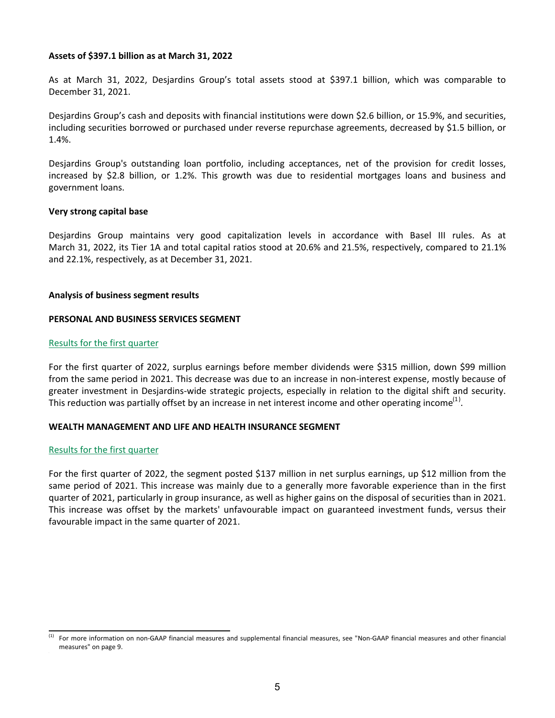#### **Assets of \$397.1 billion as at March 31, 2022**

As at March 31, 2022, Desjardins Group's total assets stood at \$397.1 billion, which was comparable to December 31, 2021. 

Desjardins Group's cash and deposits with financial institutions were down \$2.6 billion, or 15.9%, and securities, including securities borrowed or purchased under reverse repurchase agreements, decreased by \$1.5 billion, or 1.4%.

Desjardins Group's outstanding loan portfolio, including acceptances, net of the provision for credit losses, increased by \$2.8 billion, or 1.2%. This growth was due to residential mortgages loans and business and government loans.

#### **Very strong capital base**

Desjardins Group maintains very good capitalization levels in accordance with Basel III rules. As at March 31, 2022, its Tier 1A and total capital ratios stood at 20.6% and 21.5%, respectively, compared to 21.1% and 22.1%, respectively, as at December 31, 2021.

#### **Analysis of business segment results**

#### **PERSONAL AND BUSINESS SERVICES SEGMENT**

#### Results for the first quarter

For the first quarter of 2022, surplus earnings before member dividends were \$315 million, down \$99 million from the same period in 2021. This decrease was due to an increase in non-interest expense, mostly because of greater investment in Desjardins-wide strategic projects, especially in relation to the digital shift and security. This reduction was partially offset by an increase in net interest income and other operating income<sup>(1)</sup>.

# WEALTH MANAGEMENT AND LIFE AND HEALTH INSURANCE SEGMENT

#### Results for the first quarter

For the first quarter of 2022, the segment posted \$137 million in net surplus earnings, up \$12 million from the same period of 2021. This increase was mainly due to a generally more favorable experience than in the first quarter of 2021, particularly in group insurance, as well as higher gains on the disposal of securities than in 2021. This increase was offset by the markets' unfavourable impact on guaranteed investment funds, versus their favourable impact in the same quarter of 2021.

<sup>(1)</sup> For more information on non-GAAP financial measures and supplemental financial measures, see "Non-GAAP financial measures and other financial measures" on page 9.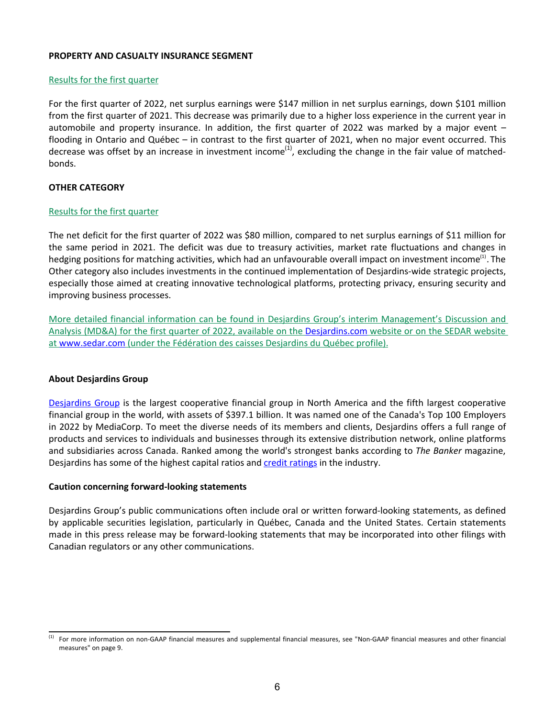#### **PROPERTY AND CASUALTY INSURANCE SEGMENT**

# Results for the first quarter

For the first quarter of 2022, net surplus earnings were \$147 million in net surplus earnings, down \$101 million from the first quarter of 2021. This decrease was primarily due to a higher loss experience in the current year in automobile and property insurance. In addition, the first quarter of 2022 was marked by a major event  $$ flooding in Ontario and Québec – in contrast to the first quarter of 2021, when no major event occurred. This decrease was offset by an increase in investment income<sup>(1)</sup>, excluding the change in the fair value of matchedbonds.

# **OTHER CATEGORY**

#### Results for the first quarter

The net deficit for the first quarter of 2022 was \$80 million, compared to net surplus earnings of \$11 million for the same period in 2021. The deficit was due to treasury activities, market rate fluctuations and changes in hedging positions for matching activities, which had an unfavourable overall impact on investment income<sup>(1)</sup>. The Other category also includes investments in the continued implementation of Desjardins-wide strategic projects, especially those aimed at creating innovative technological platforms, protecting privacy, ensuring security and improving business processes.

More detailed financial information can be found in Desjardins Group's interim Management's Discussion and Analysis (MD&A) for the first quarter of 2022, available on the [Desjardins.com](https://www.desjardins.com/ca/about-us/investor-relations/index.jsp) website or on the SEDAR website at www.sedar.com (under the Fédération des caisses Desjardins du Québec profile).

#### **About Desjardins Group**

Desjardins Group is the largest cooperative financial group in North America and the fifth largest cooperative financial group in the world, with assets of \$397.1 billion. It was named one of the Canada's Top 100 Employers in 2022 by MediaCorp. To meet the diverse needs of its members and clients, Desjardins offers a full range of products and services to individuals and businesses through its extensive distribution network, online platforms and subsidiaries across Canada. Ranked among the world's strongest banks according to *The Banker* magazine, Desjardins has some of the highest capital ratios and credit ratings in the industry.

#### **Caution concerning forward-looking statements**

Desjardins Group's public communications often include oral or written forward-looking statements, as defined by applicable securities legislation, particularly in Québec, Canada and the United States. Certain statements made in this press release may be forward-looking statements that may be incorporated into other filings with Canadian regulators or any other communications.

<sup>(1)</sup> For more information on non-GAAP financial measures and supplemental financial measures, see "Non-GAAP financial measures and other financial measures" on page 9.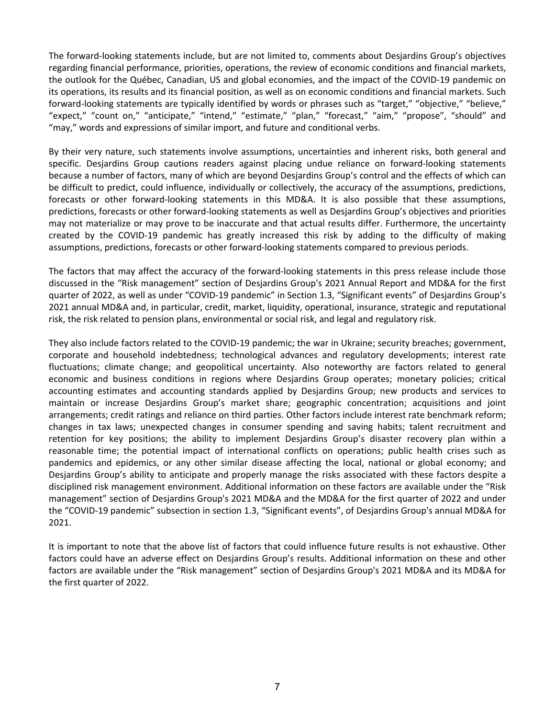The forward-looking statements include, but are not limited to, comments about Desjardins Group's objectives regarding financial performance, priorities, operations, the review of economic conditions and financial markets, the outlook for the Québec, Canadian, US and global economies, and the impact of the COVID-19 pandemic on its operations, its results and its financial position, as well as on economic conditions and financial markets. Such forward-looking statements are typically identified by words or phrases such as "target," "objective," "believe," "expect," "count on," "anticipate," "intend," "estimate," "plan," "forecast," "aim," "propose", "should" and "may," words and expressions of similar import, and future and conditional verbs.

By their very nature, such statements involve assumptions, uncertainties and inherent risks, both general and specific. Desjardins Group cautions readers against placing undue reliance on forward-looking statements because a number of factors, many of which are beyond Desjardins Group's control and the effects of which can be difficult to predict, could influence, individually or collectively, the accuracy of the assumptions, predictions, forecasts or other forward-looking statements in this MD&A. It is also possible that these assumptions, predictions, forecasts or other forward-looking statements as well as Desjardins Group's objectives and priorities may not materialize or may prove to be inaccurate and that actual results differ. Furthermore, the uncertainty created by the COVID-19 pandemic has greatly increased this risk by adding to the difficulty of making assumptions, predictions, forecasts or other forward-looking statements compared to previous periods.

The factors that may affect the accuracy of the forward-looking statements in this press release include those discussed in the "Risk management" section of Desjardins Group's 2021 Annual Report and MD&A for the first quarter of 2022, as well as under "COVID-19 pandemic" in Section 1.3, "Significant events" of Desjardins Group's 2021 annual MD&A and, in particular, credit, market, liquidity, operational, insurance, strategic and reputational risk, the risk related to pension plans, environmental or social risk, and legal and regulatory risk.

They also include factors related to the COVID-19 pandemic; the war in Ukraine; security breaches; government, corporate and household indebtedness; technological advances and regulatory developments; interest rate fluctuations; climate change; and geopolitical uncertainty. Also noteworthy are factors related to general economic and business conditions in regions where Desjardins Group operates; monetary policies; critical accounting estimates and accounting standards applied by Desjardins Group; new products and services to maintain or increase Desjardins Group's market share; geographic concentration; acquisitions and joint arrangements; credit ratings and reliance on third parties. Other factors include interest rate benchmark reform; changes in tax laws; unexpected changes in consumer spending and saving habits; talent recruitment and retention for key positions; the ability to implement Desjardins Group's disaster recovery plan within a reasonable time; the potential impact of international conflicts on operations; public health crises such as pandemics and epidemics, or any other similar disease affecting the local, national or global economy; and Desjardins Group's ability to anticipate and properly manage the risks associated with these factors despite a disciplined risk management environment. Additional information on these factors are available under the "Risk management" section of Desjardins Group's 2021 MD&A and the MD&A for the first quarter of 2022 and under the "COVID-19 pandemic" subsection in section 1.3, "Significant events", of Desjardins Group's annual MD&A for 2021.

It is important to note that the above list of factors that could influence future results is not exhaustive. Other factors could have an adverse effect on Desjardins Group's results. Additional information on these and other factors are available under the "Risk management" section of Desjardins Group's 2021 MD&A and its MD&A for the first quarter of 2022.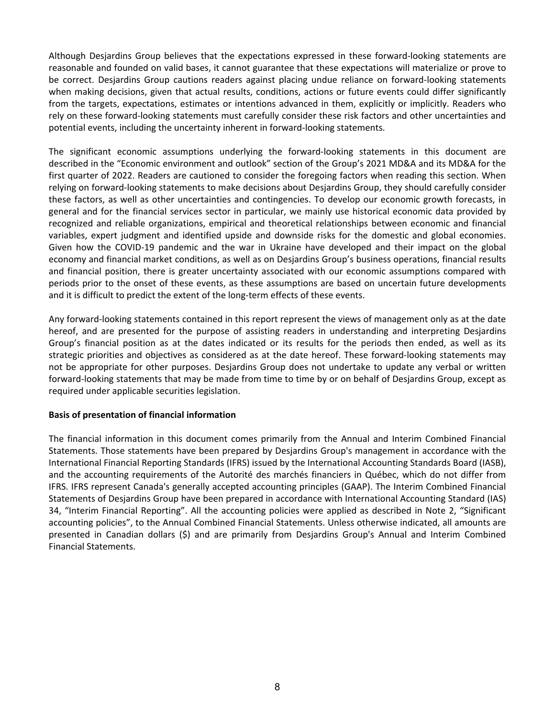Although Desjardins Group believes that the expectations expressed in these forward-looking statements are reasonable and founded on valid bases, it cannot guarantee that these expectations will materialize or prove to be correct. Desjardins Group cautions readers against placing undue reliance on forward-looking statements when making decisions, given that actual results, conditions, actions or future events could differ significantly from the targets, expectations, estimates or intentions advanced in them, explicitly or implicitly. Readers who rely on these forward-looking statements must carefully consider these risk factors and other uncertainties and potential events, including the uncertainty inherent in forward-looking statements.

The significant economic assumptions underlying the forward-looking statements in this document are described in the "Economic environment and outlook" section of the Group's 2021 MD&A and its MD&A for the first quarter of 2022. Readers are cautioned to consider the foregoing factors when reading this section. When relying on forward-looking statements to make decisions about Desjardins Group, they should carefully consider these factors, as well as other uncertainties and contingencies. To develop our economic growth forecasts, in general and for the financial services sector in particular, we mainly use historical economic data provided by recognized and reliable organizations, empirical and theoretical relationships between economic and financial variables, expert judgment and identified upside and downside risks for the domestic and global economies. Given how the COVID-19 pandemic and the war in Ukraine have developed and their impact on the global economy and financial market conditions, as well as on Desjardins Group's business operations, financial results and financial position, there is greater uncertainty associated with our economic assumptions compared with periods prior to the onset of these events, as these assumptions are based on uncertain future developments and it is difficult to predict the extent of the long-term effects of these events.

Any forward-looking statements contained in this report represent the views of management only as at the date hereof, and are presented for the purpose of assisting readers in understanding and interpreting Desjardins Group's financial position as at the dates indicated or its results for the periods then ended, as well as its strategic priorities and objectives as considered as at the date hereof. These forward-looking statements may not be appropriate for other purposes. Desjardins Group does not undertake to update any verbal or written forward-looking statements that may be made from time to time by or on behalf of Desjardins Group, except as required under applicable securities legislation.

# **Basis of presentation of financial information**

The financial information in this document comes primarily from the Annual and Interim Combined Financial Statements. Those statements have been prepared by Desjardins Group's management in accordance with the International Financial Reporting Standards (IFRS) issued by the International Accounting Standards Board (IASB), and the accounting requirements of the Autorité des marchés financiers in Québec, which do not differ from IFRS. IFRS represent Canada's generally accepted accounting principles (GAAP). The Interim Combined Financial Statements of Desjardins Group have been prepared in accordance with International Accounting Standard (IAS) 34, "Interim Financial Reporting". All the accounting policies were applied as described in Note 2, "Significant accounting policies", to the Annual Combined Financial Statements. Unless otherwise indicated, all amounts are presented in Canadian dollars (\$) and are primarily from Desjardins Group's Annual and Interim Combined Financial Statements.